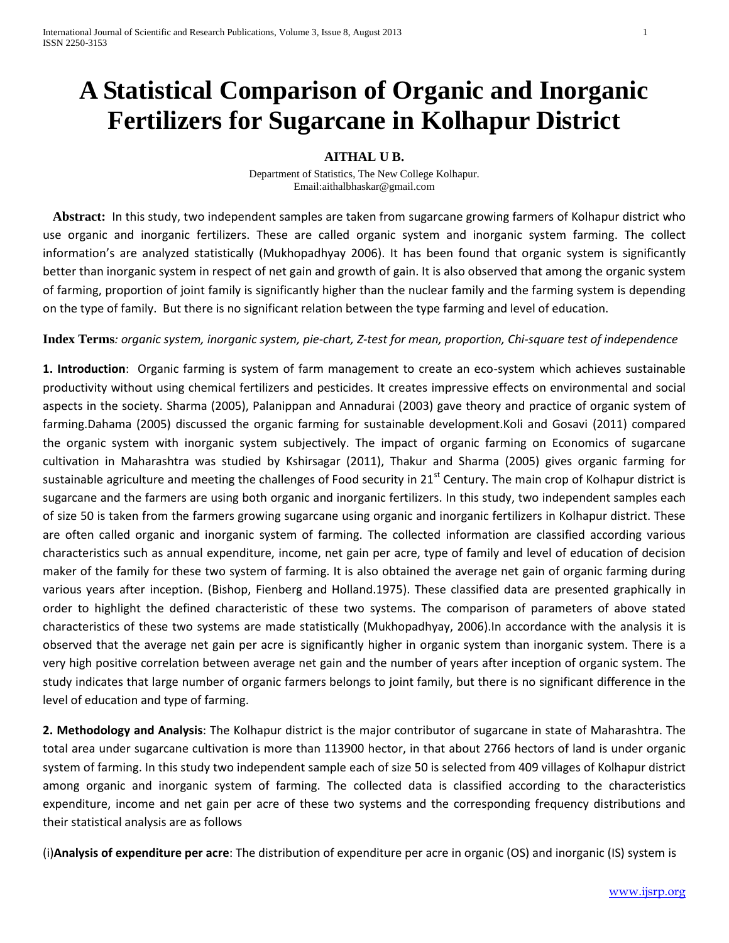## **A Statistical Comparison of Organic and Inorganic Fertilizers for Sugarcane in Kolhapur District**

## **AITHAL U B.**

Department of Statistics, The New College Kolhapur. Email:aithalbhaskar@gmail.com

 **Abstract:** In this study, two independent samples are taken from sugarcane growing farmers of Kolhapur district who use organic and inorganic fertilizers. These are called organic system and inorganic system farming. The collect information's are analyzed statistically (Mukhopadhyay 2006). It has been found that organic system is significantly better than inorganic system in respect of net gain and growth of gain. It is also observed that among the organic system of farming, proportion of joint family is significantly higher than the nuclear family and the farming system is depending on the type of family. But there is no significant relation between the type farming and level of education.

## **Index Terms***: organic system, inorganic system, pie-chart, Z-test for mean, proportion, Chi-square test of independence*

**1. Introduction**: Organic farming is system of farm management to create an eco-system which achieves sustainable productivity without using chemical fertilizers and pesticides. It creates impressive effects on environmental and social aspects in the society. Sharma (2005), Palanippan and Annadurai (2003) gave theory and practice of organic system of farming.Dahama (2005) discussed the organic farming for sustainable development.Koli and Gosavi (2011) compared the organic system with inorganic system subjectively. The impact of organic farming on Economics of sugarcane cultivation in Maharashtra was studied by Kshirsagar (2011), Thakur and Sharma (2005) gives organic farming for sustainable agriculture and meeting the challenges of Food security in 21<sup>st</sup> Century. The main crop of Kolhapur district is sugarcane and the farmers are using both organic and inorganic fertilizers. In this study, two independent samples each of size 50 is taken from the farmers growing sugarcane using organic and inorganic fertilizers in Kolhapur district. These are often called organic and inorganic system of farming. The collected information are classified according various characteristics such as annual expenditure, income, net gain per acre, type of family and level of education of decision maker of the family for these two system of farming. It is also obtained the average net gain of organic farming during various years after inception. (Bishop, Fienberg and Holland.1975). These classified data are presented graphically in order to highlight the defined characteristic of these two systems. The comparison of parameters of above stated characteristics of these two systems are made statistically (Mukhopadhyay, 2006).In accordance with the analysis it is observed that the average net gain per acre is significantly higher in organic system than inorganic system. There is a very high positive correlation between average net gain and the number of years after inception of organic system. The study indicates that large number of organic farmers belongs to joint family, but there is no significant difference in the level of education and type of farming.

**2. Methodology and Analysis**: The Kolhapur district is the major contributor of sugarcane in state of Maharashtra. The total area under sugarcane cultivation is more than 113900 hector, in that about 2766 hectors of land is under organic system of farming. In this study two independent sample each of size 50 is selected from 409 villages of Kolhapur district among organic and inorganic system of farming. The collected data is classified according to the characteristics expenditure, income and net gain per acre of these two systems and the corresponding frequency distributions and their statistical analysis are as follows

(i)**Analysis of expenditure per acre**: The distribution of expenditure per acre in organic (OS) and inorganic (IS) system is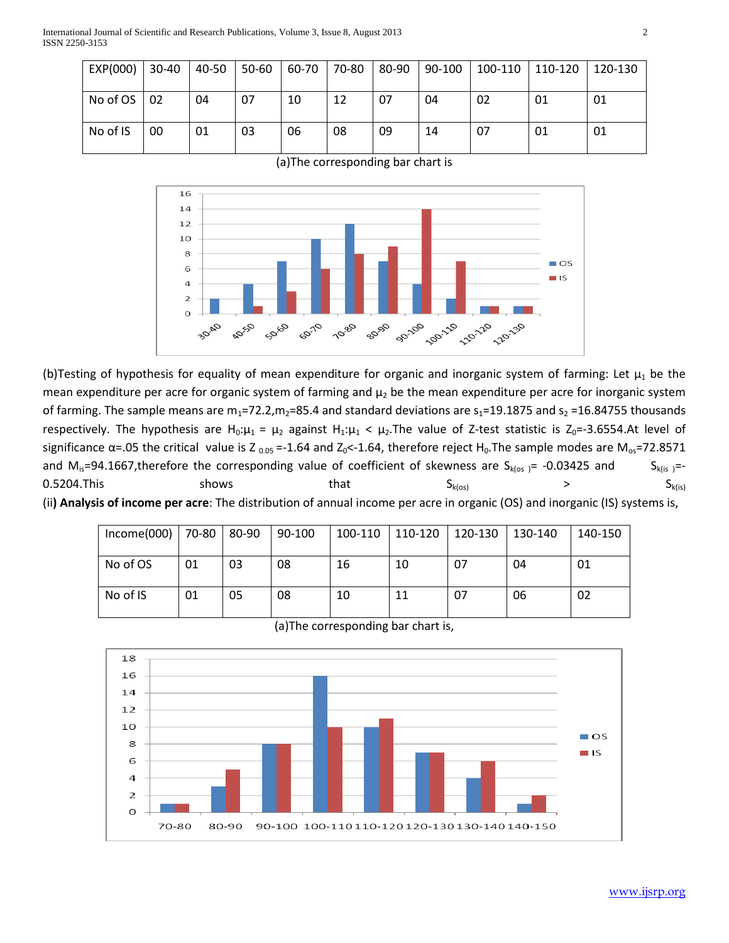International Journal of Scientific and Research Publications, Volume 3, Issue 8, August 2013 2 ISSN 2250-3153

| EXP(000) | $30 - 40$ | 40-50 | $  50-60$ | 60-70 | 70-80 | 80-90 | 90-100 | $100-110$ | $110-120$ | 120-130 |
|----------|-----------|-------|-----------|-------|-------|-------|--------|-----------|-----------|---------|
| No of OS | 02        | 04    | 07        | 10    | 12    | 07    | 04     | 02        | 01        | 01      |
| No of IS | 00        | 01    | 03        | 06    | 08    | 09    | 14     | 07        | 01        | 01      |

(a)The corresponding bar chart is



(b)Testing of hypothesis for equality of mean expenditure for organic and inorganic system of farming: Let  $\mu_1$  be the mean expenditure per acre for organic system of farming and  $\mu_2$  be the mean expenditure per acre for inorganic system of farming. The sample means are  $m_1=72.2$ ,  $m_2=85.4$  and standard deviations are  $s_1=19.1875$  and  $s_2=16.84755$  thousands respectively. The hypothesis are H<sub>0</sub>: $\mu_1 = \mu_2$  against H<sub>1</sub>: $\mu_1 < \mu_2$ . The value of Z-test statistic is Z<sub>0</sub>=-3.6554. At level of significance  $\alpha$ =.05 the critical value is Z  $_{0.05}$  =-1.64 and Z<sub>0</sub><-1.64, therefore reject H<sub>0</sub>. The sample modes are M<sub>os</sub>=72.8571 and  $M_{is}=94.1667$ , therefore the corresponding value of coefficient of skewness are  $S_{k(\alpha s)} = -0.03425$  and  $S_{k(i s)} = -0.03425$  $0.5204$ .This shows that  $S_{k(cos)}$  >  $S_{k(is)}$ (ii**) Analysis of income per acre**: The distribution of annual income per acre in organic (OS) and inorganic (IS) systems is,

| $Income(000)$   70-80 |    | 80-90 | 90-100 | 100-110 | $ 110-120 $ | $ 120-130 $ | 130-140 | 140-150 |
|-----------------------|----|-------|--------|---------|-------------|-------------|---------|---------|
| No of OS              | 01 | 03    | 08     | 16      | 10          | 07          | 04      | 01      |
| No of IS              | 01 | 05    | 08     | 10      | 11          | 07          | 06      | 02      |

|  | (a) The corresponding bar chart is, |  |
|--|-------------------------------------|--|
|--|-------------------------------------|--|

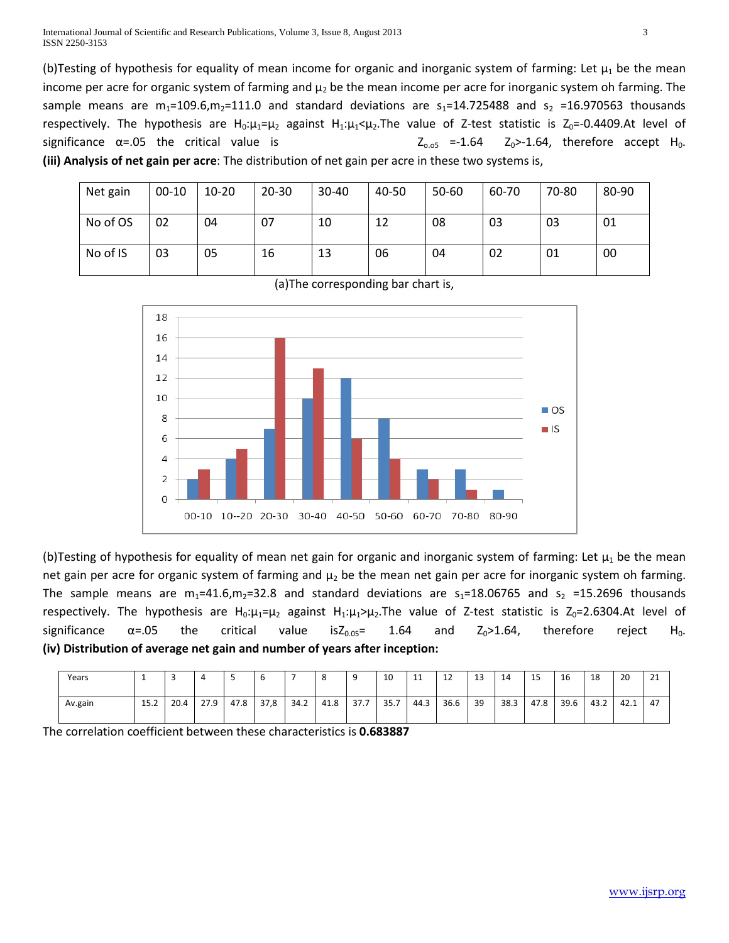(b)Testing of hypothesis for equality of mean income for organic and inorganic system of farming: Let  $\mu_1$  be the mean income per acre for organic system of farming and  $\mu_2$  be the mean income per acre for inorganic system oh farming. The sample means are  $m_1$ =109.6, $m_2$ =111.0 and standard deviations are  $s_1$ =14.725488 and  $s_2$  =16.970563 thousands respectively. The hypothesis are H<sub>0</sub>: $\mu_1=\mu_2$  against H<sub>1</sub>: $\mu_1<\mu_2$ . The value of Z-test statistic is Z<sub>0</sub>=-0.4409. At level of significance  $\alpha$ =.05 the critical value is  $Z_{0.05}$  =-1.64  $Z_0$ >-1.64, therefore accept H<sub>0</sub>. **(iii) Analysis of net gain per acre**: The distribution of net gain per acre in these two systems is,

| Net gain | $00-10$ | $10 - 20$ | $20 - 30$ | $30 - 40$ | 40-50 | 50-60 | 60-70 | 70-80 | 80-90 |
|----------|---------|-----------|-----------|-----------|-------|-------|-------|-------|-------|
| No of OS | 02      | 04        | 07        | 10        | 12    | 08    | 03    | 03    | 01    |
| No of IS | 03      | 05        | 16        | 13        | 06    | 04    | 02    | 01    | 00    |



(a)The corresponding bar chart is,

(b)Testing of hypothesis for equality of mean net gain for organic and inorganic system of farming: Let  $\mu_1$  be the mean net gain per acre for organic system of farming and  $\mu_2$  be the mean net gain per acre for inorganic system oh farming. The sample means are  $m_1$ =41.6,m<sub>2</sub>=32.8 and standard deviations are  $s_1$ =18.06765 and  $s_2$  =15.2696 thousands respectively. The hypothesis are H<sub>0</sub>: $\mu_1 = \mu_2$  against H<sub>1</sub>: $\mu_1 > \mu_2$ . The value of Z-test statistic is Z<sub>0</sub>=2.6304.At level of significance  $\alpha$ =.05 the critical value isZ $_{0.05}$ = 1.64 and Z<sub>0</sub>>1.64, therefore reject H<sub>0</sub>. **(iv) Distribution of average net gain and number of years after inception:**

| Years   |      | -    |      |      |      |      |      |      | 10   | $\overline{11}$<br>ᆠ | $\sim$<br>ᅩ | 12<br>د⊥ | 14   | 15   | 16   | 18   | 20   | 24<br><u>_</u> |
|---------|------|------|------|------|------|------|------|------|------|----------------------|-------------|----------|------|------|------|------|------|----------------|
| Av.gain | 15.2 | 20.4 | 27.9 | 47.8 | 37,8 | 34.2 | 41.8 | 37.7 | 35.7 | 44.3                 | 36.6        | 39       | 38.3 | 47.8 | 39.6 | 43.2 | 42.1 | -47            |

The correlation coefficient between these characteristics is **0.683887**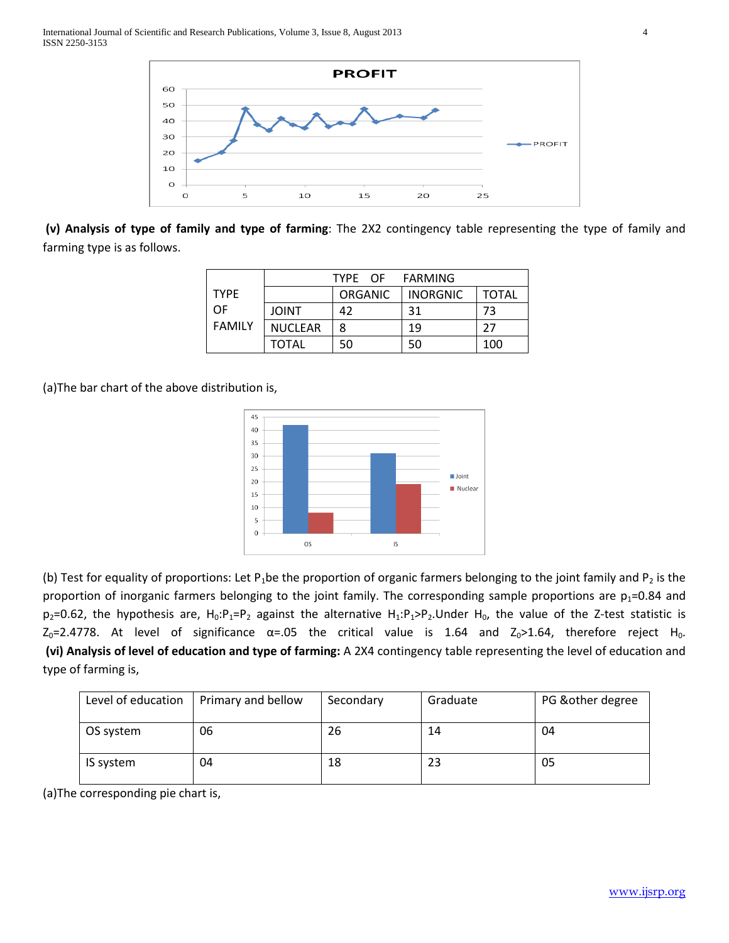

**(v) Analysis of type of family and type of farming**: The 2X2 contingency table representing the type of family and farming type is as follows.

|               |                | TYPE OF FARMING |                 |              |
|---------------|----------------|-----------------|-----------------|--------------|
| <b>TYPF</b>   |                | <b>ORGANIC</b>  | <b>INORGNIC</b> | <b>TOTAL</b> |
| OF            | <b>JOINT</b>   | 42              | 31              | 73           |
| <b>FAMILY</b> | <b>NUCLEAR</b> | 8               | 19              | 27           |
|               | <b>TOTAL</b>   | 50              | 50              | 100          |

(a)The bar chart of the above distribution is,



(b) Test for equality of proportions: Let P<sub>1</sub>be the proportion of organic farmers belonging to the joint family and P<sub>2</sub> is the proportion of inorganic farmers belonging to the joint family. The corresponding sample proportions are  $p_1$ =0.84 and  $p_2$ =0.62, the hypothesis are, H<sub>0</sub>:P<sub>1</sub>=P<sub>2</sub> against the alternative H<sub>1</sub>:P<sub>1</sub>>P<sub>2</sub>.Under H<sub>0</sub>, the value of the Z-test statistic is  $Z_0$ =2.4778. At level of significance  $\alpha$ =.05 the critical value is 1.64 and  $Z_0$ >1.64, therefore reject H<sub>0</sub>. **(vi) Analysis of level of education and type of farming:** A 2X4 contingency table representing the level of education and type of farming is,

| Level of education | Primary and bellow | Secondary | Graduate | PG & other degree |
|--------------------|--------------------|-----------|----------|-------------------|
| OS system          | 06                 | 26        | 14       | 04                |
| IS system          | 04                 | 18        | 23       | 05                |

(a)The corresponding pie chart is,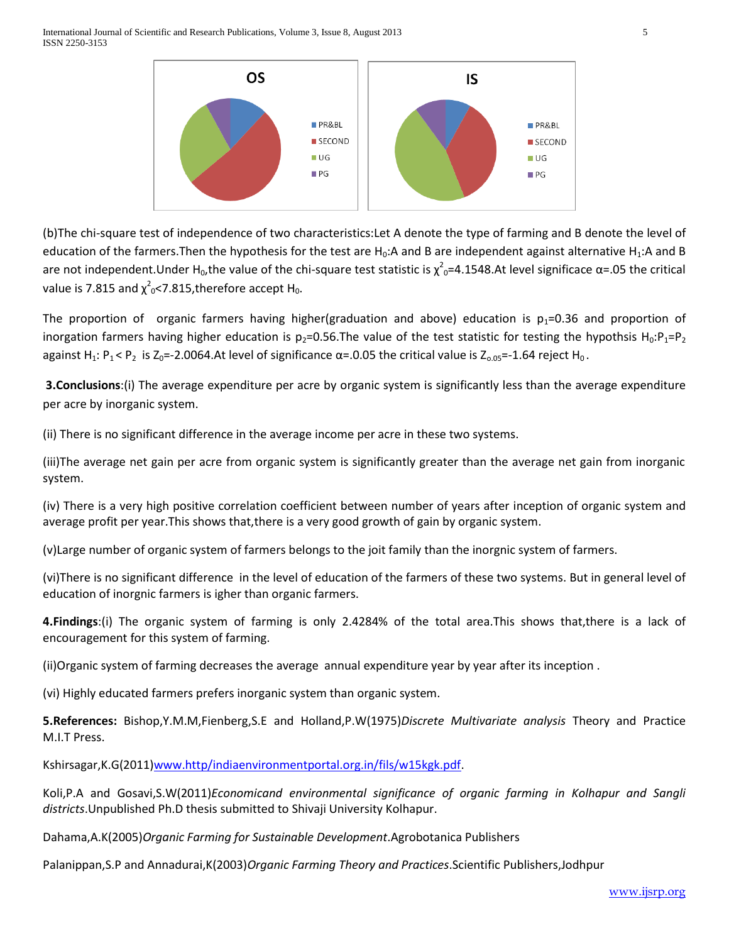International Journal of Scientific and Research Publications, Volume 3, Issue 8, August 2013 5 ISSN 2250-3153



(b)The chi-square test of independence of two characteristics:Let A denote the type of farming and B denote the level of education of the farmers. Then the hypothesis for the test are  $H_0:A$  and B are independent against alternative  $H_1:A$  and B are not independent.Under H<sub>0</sub>,the value of the chi-square test statistic is  $\chi^2$ <sub>0</sub>=4.1548.At level significace  $\alpha$ =.05 the critical value is 7.815 and  $\chi^2$ <sub>0</sub><7.815,therefore accept H<sub>0</sub>.

The proportion of organic farmers having higher(graduation and above) education is  $p_1$ =0.36 and proportion of inorgation farmers having higher education is  $p_2$ =0.56.The value of the test statistic for testing the hypothsis H<sub>0</sub>:P<sub>1</sub>=P<sub>2</sub> against H<sub>1</sub>: P<sub>1</sub> < P<sub>2</sub> is Z<sub>0</sub>=-2.0064.At level of significance  $\alpha$ =.0.05 the critical value is Z<sub>0.05</sub>=-1.64 reject H<sub>0</sub>.

**3.Conclusions**:(i) The average expenditure per acre by organic system is significantly less than the average expenditure per acre by inorganic system.

(ii) There is no significant difference in the average income per acre in these two systems.

(iii)The average net gain per acre from organic system is significantly greater than the average net gain from inorganic system.

(iv) There is a very high positive correlation coefficient between number of years after inception of organic system and average profit per year.This shows that,there is a very good growth of gain by organic system.

(v)Large number of organic system of farmers belongs to the joit family than the inorgnic system of farmers.

(vi)There is no significant difference in the level of education of the farmers of these two systems. But in general level of education of inorgnic farmers is igher than organic farmers.

**4.Findings**:(i) The organic system of farming is only 2.4284% of the total area.This shows that,there is a lack of encouragement for this system of farming.

(ii)Organic system of farming decreases the average annual expenditure year by year after its inception .

(vi) Highly educated farmers prefers inorganic system than organic system.

**5.References:** Bishop,Y.M.M,Fienberg,S.E and Holland,P.W(1975)*Discrete Multivariate analysis* Theory and Practice M.I.T Press.

Kshirsagar,K.G(2011[\)www.http/indiaenvironmentportal.org.in/fils/w15kgk.pdf.](http://www.http/indiaenvironmentportal.org.in/fils/w15kgk.pdf)

Koli,P.A and Gosavi,S.W(2011)*Economicand environmental significance of organic farming in Kolhapur and Sangli districts*.Unpublished Ph.D thesis submitted to Shivaji University Kolhapur.

Dahama,A.K(2005)*Organic Farming for Sustainable Development*.Agrobotanica Publishers

Palanippan,S.P and Annadurai,K(2003)*Organic Farming Theory and Practices*.Scientific Publishers,Jodhpur